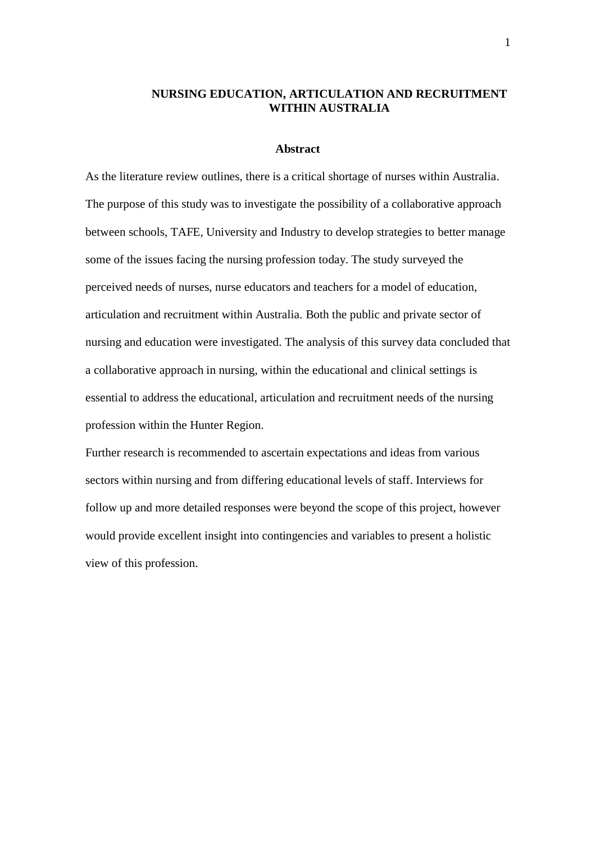# **NURSING EDUCATION, ARTICULATION AND RECRUITMENT WITHIN AUSTRALIA**

#### **Abstract**

As the literature review outlines, there is a critical shortage of nurses within Australia. The purpose of this study was to investigate the possibility of a collaborative approach between schools, TAFE, University and Industry to develop strategies to better manage some of the issues facing the nursing profession today. The study surveyed the perceived needs of nurses, nurse educators and teachers for a model of education, articulation and recruitment within Australia. Both the public and private sector of nursing and education were investigated. The analysis of this survey data concluded that a collaborative approach in nursing, within the educational and clinical settings is essential to address the educational, articulation and recruitment needs of the nursing profession within the Hunter Region.

Further research is recommended to ascertain expectations and ideas from various sectors within nursing and from differing educational levels of staff. Interviews for follow up and more detailed responses were beyond the scope of this project, however would provide excellent insight into contingencies and variables to present a holistic view of this profession.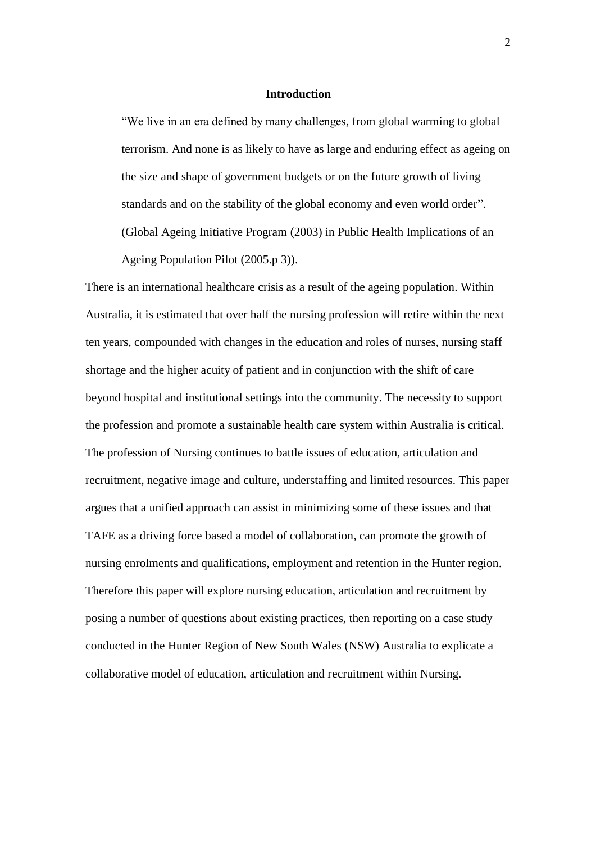## **Introduction**

"We live in an era defined by many challenges, from global warming to global terrorism. And none is as likely to have as large and enduring effect as ageing on the size and shape of government budgets or on the future growth of living standards and on the stability of the global economy and even world order". (Global Ageing Initiative Program (2003) in Public Health Implications of an Ageing Population Pilot (2005.p 3)).

There is an international healthcare crisis as a result of the ageing population. Within Australia, it is estimated that over half the nursing profession will retire within the next ten years, compounded with changes in the education and roles of nurses, nursing staff shortage and the higher acuity of patient and in conjunction with the shift of care beyond hospital and institutional settings into the community. The necessity to support the profession and promote a sustainable health care system within Australia is critical. The profession of Nursing continues to battle issues of education, articulation and recruitment, negative image and culture, understaffing and limited resources. This paper argues that a unified approach can assist in minimizing some of these issues and that TAFE as a driving force based a model of collaboration, can promote the growth of nursing enrolments and qualifications, employment and retention in the Hunter region. Therefore this paper will explore nursing education, articulation and recruitment by posing a number of questions about existing practices, then reporting on a case study conducted in the Hunter Region of New South Wales (NSW) Australia to explicate a collaborative model of education, articulation and recruitment within Nursing.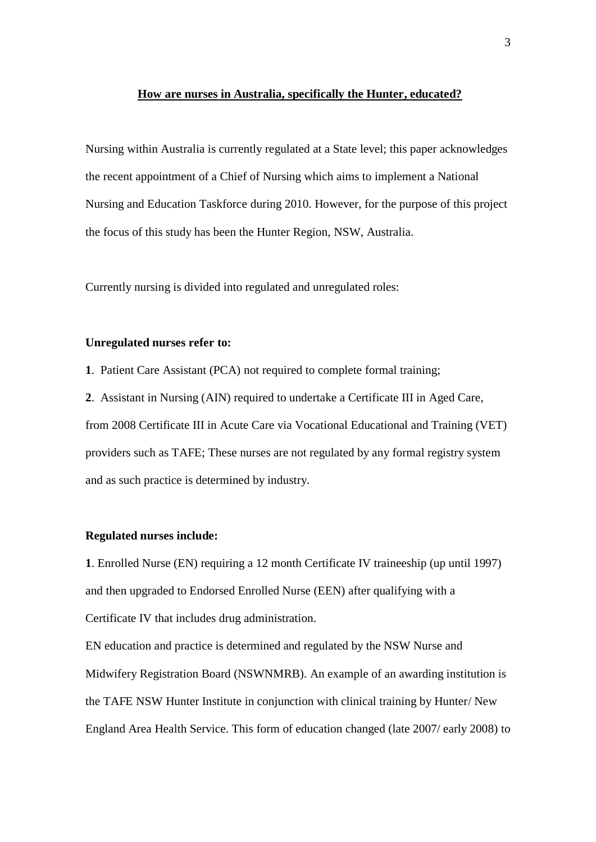### **How are nurses in Australia, specifically the Hunter, educated?**

Nursing within Australia is currently regulated at a State level; this paper acknowledges the recent appointment of a Chief of Nursing which aims to implement a National Nursing and Education Taskforce during 2010. However, for the purpose of this project the focus of this study has been the Hunter Region, NSW, Australia.

Currently nursing is divided into regulated and unregulated roles:

### **Unregulated nurses refer to:**

**1**. Patient Care Assistant (PCA) not required to complete formal training;

**2**. Assistant in Nursing (AIN) required to undertake a Certificate III in Aged Care, from 2008 Certificate III in Acute Care via Vocational Educational and Training (VET) providers such as TAFE; These nurses are not regulated by any formal registry system and as such practice is determined by industry.

### **Regulated nurses include:**

**1**. Enrolled Nurse (EN) requiring a 12 month Certificate IV traineeship (up until 1997) and then upgraded to Endorsed Enrolled Nurse (EEN) after qualifying with a Certificate IV that includes drug administration.

EN education and practice is determined and regulated by the NSW Nurse and Midwifery Registration Board (NSWNMRB). An example of an awarding institution is the TAFE NSW Hunter Institute in conjunction with clinical training by Hunter/ New England Area Health Service. This form of education changed (late 2007/ early 2008) to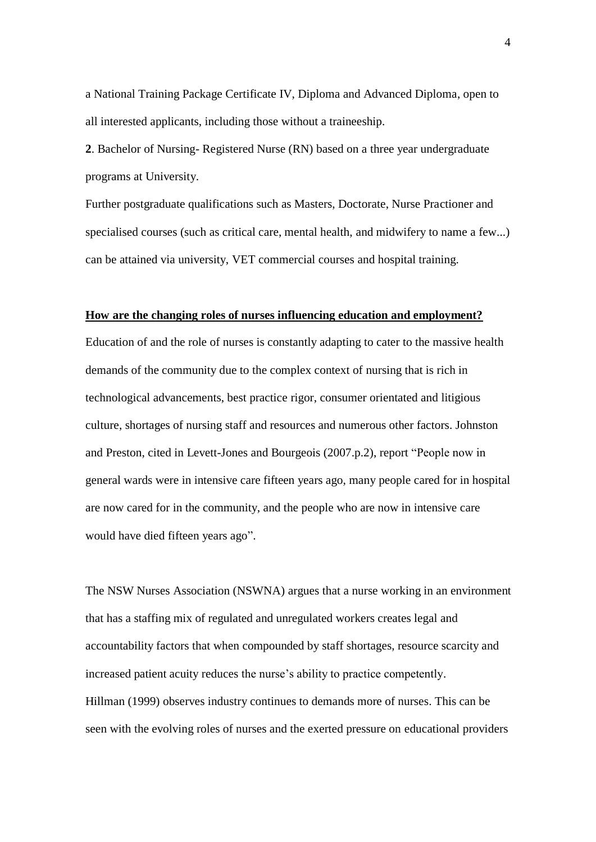a National Training Package Certificate IV, Diploma and Advanced Diploma, open to all interested applicants, including those without a traineeship.

**2**. Bachelor of Nursing- Registered Nurse (RN) based on a three year undergraduate programs at University.

Further postgraduate qualifications such as Masters, Doctorate, Nurse Practioner and specialised courses (such as critical care, mental health, and midwifery to name a few...) can be attained via university, VET commercial courses and hospital training.

### **How are the changing roles of nurses influencing education and employment?**

Education of and the role of nurses is constantly adapting to cater to the massive health demands of the community due to the complex context of nursing that is rich in technological advancements, best practice rigor, consumer orientated and litigious culture, shortages of nursing staff and resources and numerous other factors. Johnston and Preston, cited in Levett-Jones and Bourgeois (2007.p.2), report "People now in general wards were in intensive care fifteen years ago, many people cared for in hospital are now cared for in the community, and the people who are now in intensive care would have died fifteen years ago".

The NSW Nurses Association (NSWNA) argues that a nurse working in an environment that has a staffing mix of regulated and unregulated workers creates legal and accountability factors that when compounded by staff shortages, resource scarcity and increased patient acuity reduces the nurse's ability to practice competently. Hillman (1999) observes industry continues to demands more of nurses. This can be seen with the evolving roles of nurses and the exerted pressure on educational providers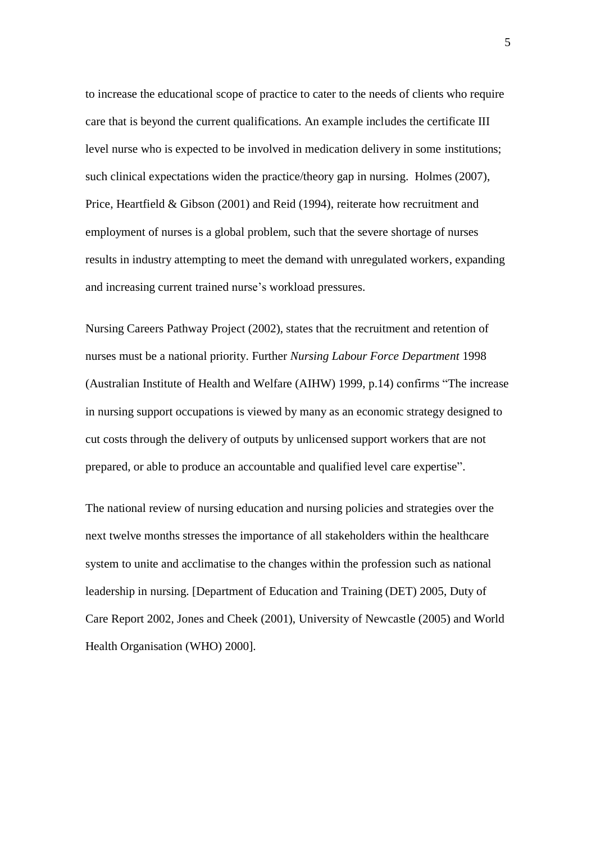to increase the educational scope of practice to cater to the needs of clients who require care that is beyond the current qualifications. An example includes the certificate III level nurse who is expected to be involved in medication delivery in some institutions; such clinical expectations widen the practice/theory gap in nursing. Holmes (2007), Price, Heartfield & Gibson (2001) and Reid (1994), reiterate how recruitment and employment of nurses is a global problem, such that the severe shortage of nurses results in industry attempting to meet the demand with unregulated workers, expanding and increasing current trained nurse's workload pressures.

Nursing Careers Pathway Project (2002), states that the recruitment and retention of nurses must be a national priority. Further *Nursing Labour Force Department* 1998 (Australian Institute of Health and Welfare (AIHW) 1999, p.14) confirms "The increase in nursing support occupations is viewed by many as an economic strategy designed to cut costs through the delivery of outputs by unlicensed support workers that are not prepared, or able to produce an accountable and qualified level care expertise".

The national review of nursing education and nursing policies and strategies over the next twelve months stresses the importance of all stakeholders within the healthcare system to unite and acclimatise to the changes within the profession such as national leadership in nursing. [Department of Education and Training (DET) 2005, Duty of Care Report 2002, Jones and Cheek (2001), University of Newcastle (2005) and World Health Organisation (WHO) 2000].

5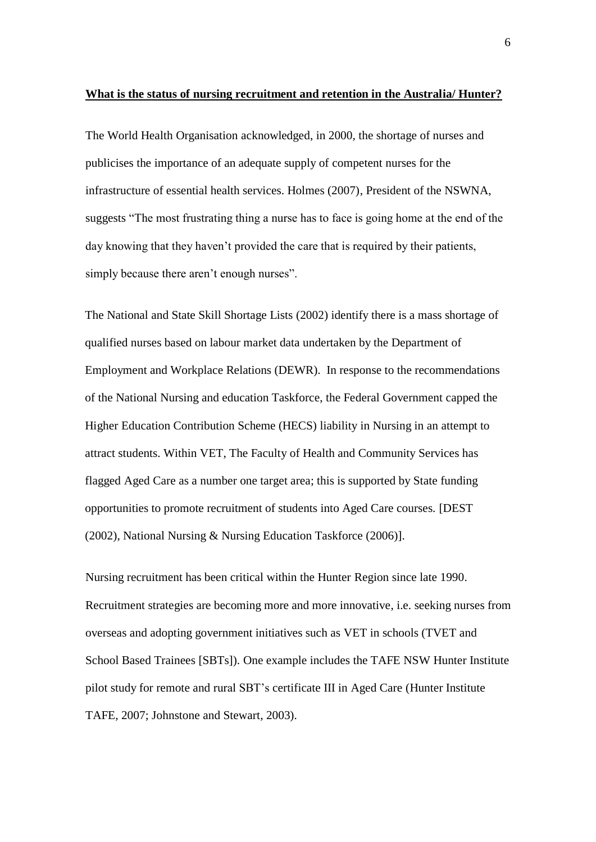## **What is the status of nursing recruitment and retention in the Australia/ Hunter?**

The World Health Organisation acknowledged, in 2000, the shortage of nurses and publicises the importance of an adequate supply of competent nurses for the infrastructure of essential health services. Holmes (2007), President of the NSWNA, suggests "The most frustrating thing a nurse has to face is going home at the end of the day knowing that they haven"t provided the care that is required by their patients, simply because there aren't enough nurses".

The National and State Skill Shortage Lists (2002) identify there is a mass shortage of qualified nurses based on labour market data undertaken by the Department of Employment and Workplace Relations (DEWR). In response to the recommendations of the National Nursing and education Taskforce, the Federal Government capped the Higher Education Contribution Scheme (HECS) liability in Nursing in an attempt to attract students. Within VET, The Faculty of Health and Community Services has flagged Aged Care as a number one target area; this is supported by State funding opportunities to promote recruitment of students into Aged Care courses. [DEST (2002), National Nursing & Nursing Education Taskforce (2006)].

Nursing recruitment has been critical within the Hunter Region since late 1990. Recruitment strategies are becoming more and more innovative, i.e. seeking nurses from overseas and adopting government initiatives such as VET in schools (TVET and School Based Trainees [SBTs]). One example includes the TAFE NSW Hunter Institute pilot study for remote and rural SBT"s certificate III in Aged Care (Hunter Institute TAFE, 2007; Johnstone and Stewart, 2003).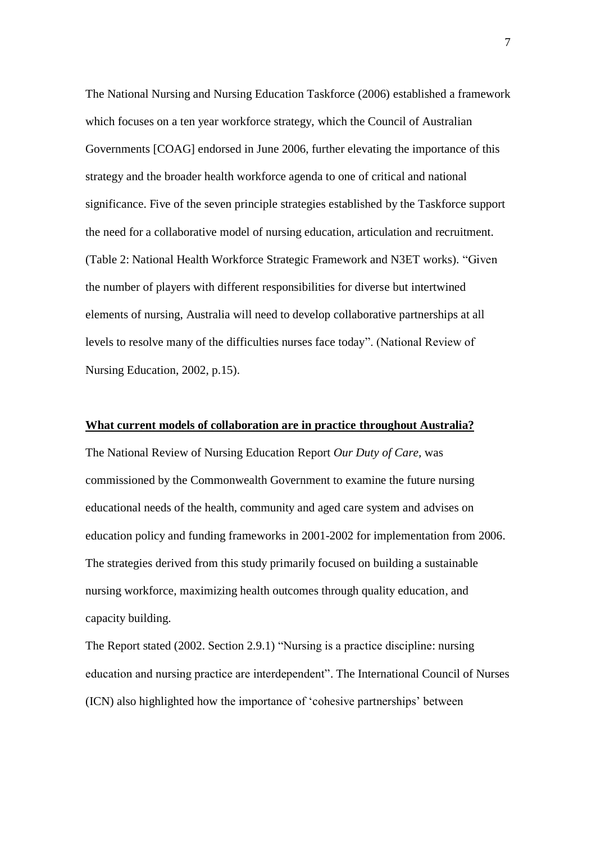The National Nursing and Nursing Education Taskforce (2006) established a framework which focuses on a ten year workforce strategy, which the Council of Australian Governments [COAG] endorsed in June 2006, further elevating the importance of this strategy and the broader health workforce agenda to one of critical and national significance. Five of the seven principle strategies established by the Taskforce support the need for a collaborative model of nursing education, articulation and recruitment. (Table 2: National Health Workforce Strategic Framework and N3ET works). "Given the number of players with different responsibilities for diverse but intertwined elements of nursing, Australia will need to develop collaborative partnerships at all levels to resolve many of the difficulties nurses face today". (National Review of Nursing Education, 2002, p.15).

# **What current models of collaboration are in practice throughout Australia?**

The National Review of Nursing Education Report *Our Duty of Care,* was commissioned by the Commonwealth Government to examine the future nursing educational needs of the health, community and aged care system and advises on education policy and funding frameworks in 2001-2002 for implementation from 2006. The strategies derived from this study primarily focused on building a sustainable nursing workforce, maximizing health outcomes through quality education, and capacity building.

The Report stated (2002. Section 2.9.1) "Nursing is a practice discipline: nursing education and nursing practice are interdependent". The International Council of Nurses (ICN) also highlighted how the importance of "cohesive partnerships" between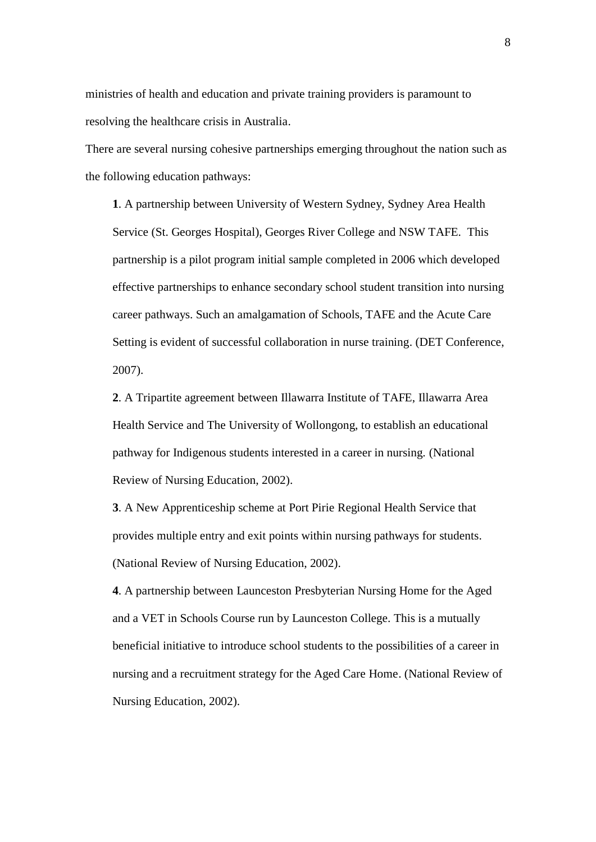ministries of health and education and private training providers is paramount to resolving the healthcare crisis in Australia.

There are several nursing cohesive partnerships emerging throughout the nation such as the following education pathways:

**1**. A partnership between University of Western Sydney, Sydney Area Health Service (St. Georges Hospital), Georges River College and NSW TAFE. This partnership is a pilot program initial sample completed in 2006 which developed effective partnerships to enhance secondary school student transition into nursing career pathways. Such an amalgamation of Schools, TAFE and the Acute Care Setting is evident of successful collaboration in nurse training. (DET Conference, 2007).

**2**. A Tripartite agreement between Illawarra Institute of TAFE, Illawarra Area Health Service and The University of Wollongong, to establish an educational pathway for Indigenous students interested in a career in nursing. (National Review of Nursing Education, 2002).

**3**. A New Apprenticeship scheme at Port Pirie Regional Health Service that provides multiple entry and exit points within nursing pathways for students. (National Review of Nursing Education, 2002).

**4**. A partnership between Launceston Presbyterian Nursing Home for the Aged and a VET in Schools Course run by Launceston College. This is a mutually beneficial initiative to introduce school students to the possibilities of a career in nursing and a recruitment strategy for the Aged Care Home. (National Review of Nursing Education, 2002).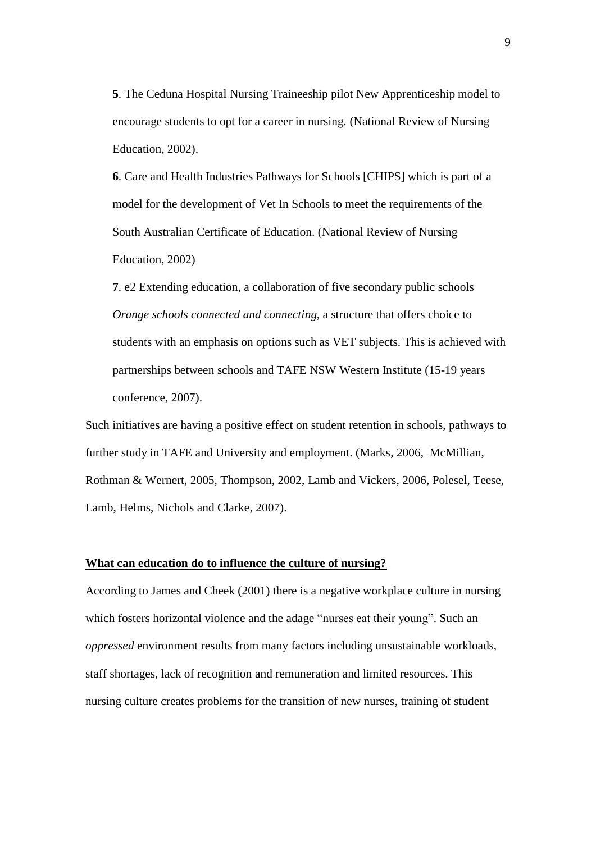**5**. The Ceduna Hospital Nursing Traineeship pilot New Apprenticeship model to encourage students to opt for a career in nursing. (National Review of Nursing Education, 2002).

**6**. Care and Health Industries Pathways for Schools [CHIPS] which is part of a model for the development of Vet In Schools to meet the requirements of the South Australian Certificate of Education. (National Review of Nursing Education, 2002)

**7**. e2 Extending education, a collaboration of five secondary public schools *Orange schools connected and connecting,* a structure that offers choice to students with an emphasis on options such as VET subjects. This is achieved with partnerships between schools and TAFE NSW Western Institute (15-19 years conference, 2007).

Such initiatives are having a positive effect on student retention in schools, pathways to further study in TAFE and University and employment. (Marks, 2006, McMillian, Rothman & Wernert, 2005, Thompson, 2002, Lamb and Vickers, 2006, Polesel, Teese, Lamb, Helms, Nichols and Clarke, 2007).

### **What can education do to influence the culture of nursing?**

According to James and Cheek (2001) there is a negative workplace culture in nursing which fosters horizontal violence and the adage "nurses eat their young". Such an *oppressed* environment results from many factors including unsustainable workloads, staff shortages, lack of recognition and remuneration and limited resources. This nursing culture creates problems for the transition of new nurses, training of student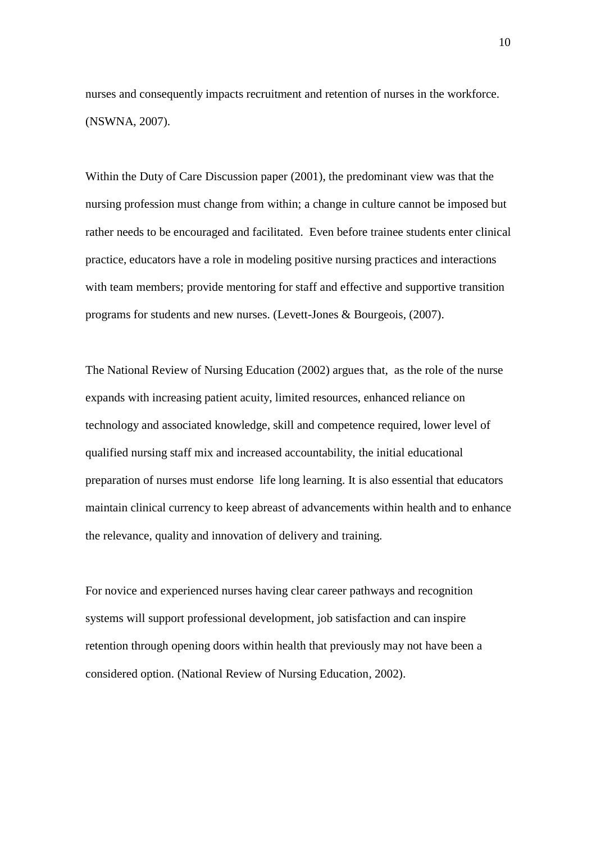nurses and consequently impacts recruitment and retention of nurses in the workforce. (NSWNA, 2007).

Within the Duty of Care Discussion paper (2001), the predominant view was that the nursing profession must change from within; a change in culture cannot be imposed but rather needs to be encouraged and facilitated. Even before trainee students enter clinical practice, educators have a role in modeling positive nursing practices and interactions with team members; provide mentoring for staff and effective and supportive transition programs for students and new nurses. (Levett-Jones & Bourgeois, (2007).

The National Review of Nursing Education (2002) argues that, as the role of the nurse expands with increasing patient acuity, limited resources, enhanced reliance on technology and associated knowledge, skill and competence required, lower level of qualified nursing staff mix and increased accountability, the initial educational preparation of nurses must endorse life long learning. It is also essential that educators maintain clinical currency to keep abreast of advancements within health and to enhance the relevance, quality and innovation of delivery and training.

For novice and experienced nurses having clear career pathways and recognition systems will support professional development, job satisfaction and can inspire retention through opening doors within health that previously may not have been a considered option. (National Review of Nursing Education, 2002).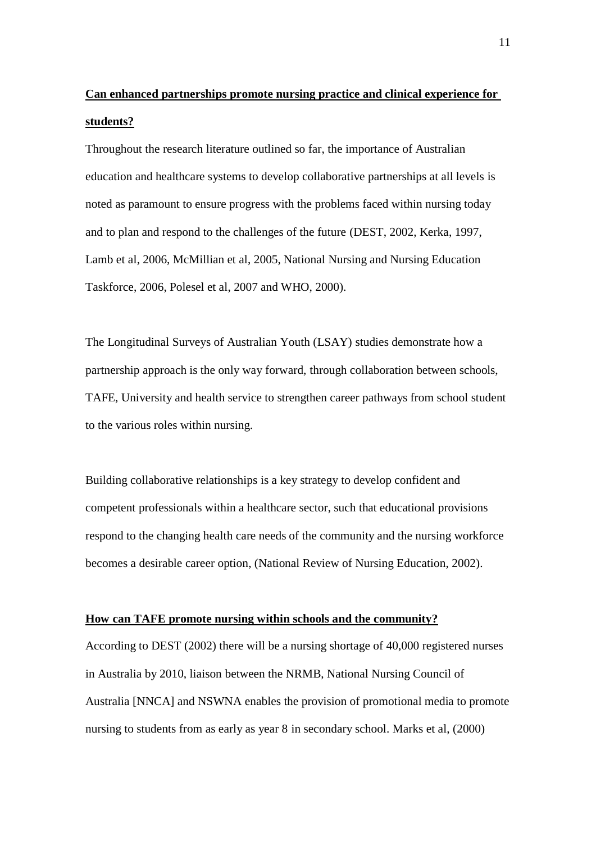# **Can enhanced partnerships promote nursing practice and clinical experience for students?**

Throughout the research literature outlined so far, the importance of Australian education and healthcare systems to develop collaborative partnerships at all levels is noted as paramount to ensure progress with the problems faced within nursing today and to plan and respond to the challenges of the future (DEST, 2002, Kerka, 1997, Lamb et al, 2006, McMillian et al, 2005, National Nursing and Nursing Education Taskforce, 2006, Polesel et al, 2007 and WHO, 2000).

The Longitudinal Surveys of Australian Youth (LSAY) studies demonstrate how a partnership approach is the only way forward, through collaboration between schools, TAFE, University and health service to strengthen career pathways from school student to the various roles within nursing.

Building collaborative relationships is a key strategy to develop confident and competent professionals within a healthcare sector, such that educational provisions respond to the changing health care needs of the community and the nursing workforce becomes a desirable career option, (National Review of Nursing Education, 2002).

# **How can TAFE promote nursing within schools and the community?**

According to DEST (2002) there will be a nursing shortage of 40,000 registered nurses in Australia by 2010, liaison between the NRMB, National Nursing Council of Australia [NNCA] and NSWNA enables the provision of promotional media to promote nursing to students from as early as year 8 in secondary school. Marks et al, (2000)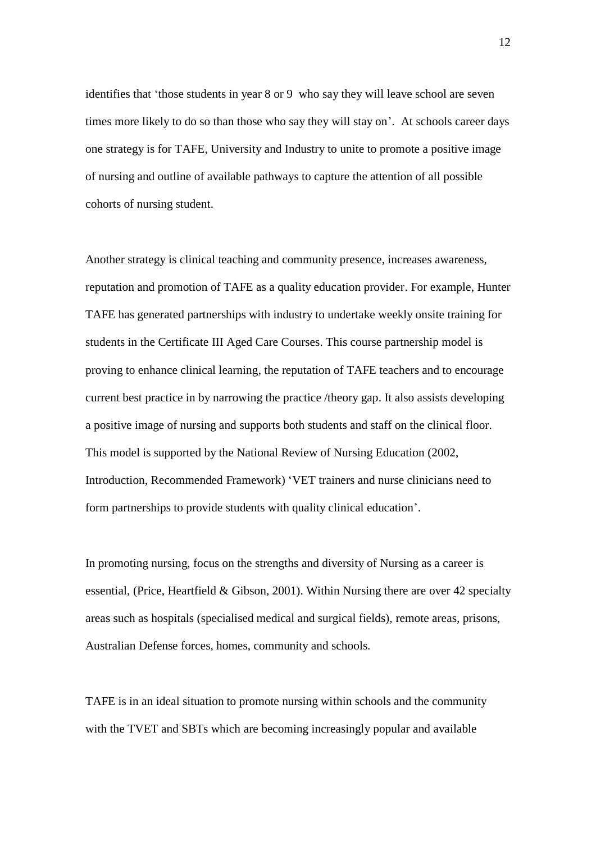identifies that "those students in year 8 or 9 who say they will leave school are seven times more likely to do so than those who say they will stay on'. At schools career days one strategy is for TAFE, University and Industry to unite to promote a positive image of nursing and outline of available pathways to capture the attention of all possible cohorts of nursing student.

Another strategy is clinical teaching and community presence, increases awareness, reputation and promotion of TAFE as a quality education provider. For example, Hunter TAFE has generated partnerships with industry to undertake weekly onsite training for students in the Certificate III Aged Care Courses. This course partnership model is proving to enhance clinical learning, the reputation of TAFE teachers and to encourage current best practice in by narrowing the practice /theory gap. It also assists developing a positive image of nursing and supports both students and staff on the clinical floor. This model is supported by the National Review of Nursing Education (2002, Introduction, Recommended Framework) "VET trainers and nurse clinicians need to form partnerships to provide students with quality clinical education".

In promoting nursing, focus on the strengths and diversity of Nursing as a career is essential, (Price, Heartfield & Gibson, 2001). Within Nursing there are over 42 specialty areas such as hospitals (specialised medical and surgical fields), remote areas, prisons, Australian Defense forces, homes, community and schools.

TAFE is in an ideal situation to promote nursing within schools and the community with the TVET and SBTs which are becoming increasingly popular and available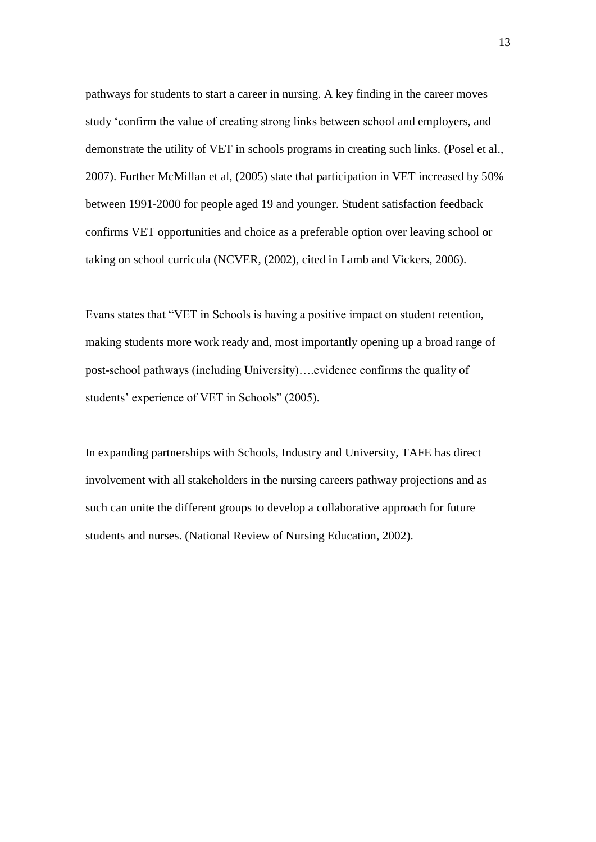pathways for students to start a career in nursing. A key finding in the career moves study "confirm the value of creating strong links between school and employers, and demonstrate the utility of VET in schools programs in creating such links. (Posel et al., 2007). Further McMillan et al, (2005) state that participation in VET increased by 50% between 1991-2000 for people aged 19 and younger. Student satisfaction feedback confirms VET opportunities and choice as a preferable option over leaving school or taking on school curricula (NCVER, (2002), cited in Lamb and Vickers, 2006).

Evans states that "VET in Schools is having a positive impact on student retention, making students more work ready and, most importantly opening up a broad range of post-school pathways (including University)….evidence confirms the quality of students' experience of VET in Schools" (2005).

In expanding partnerships with Schools, Industry and University, TAFE has direct involvement with all stakeholders in the nursing careers pathway projections and as such can unite the different groups to develop a collaborative approach for future students and nurses. (National Review of Nursing Education, 2002).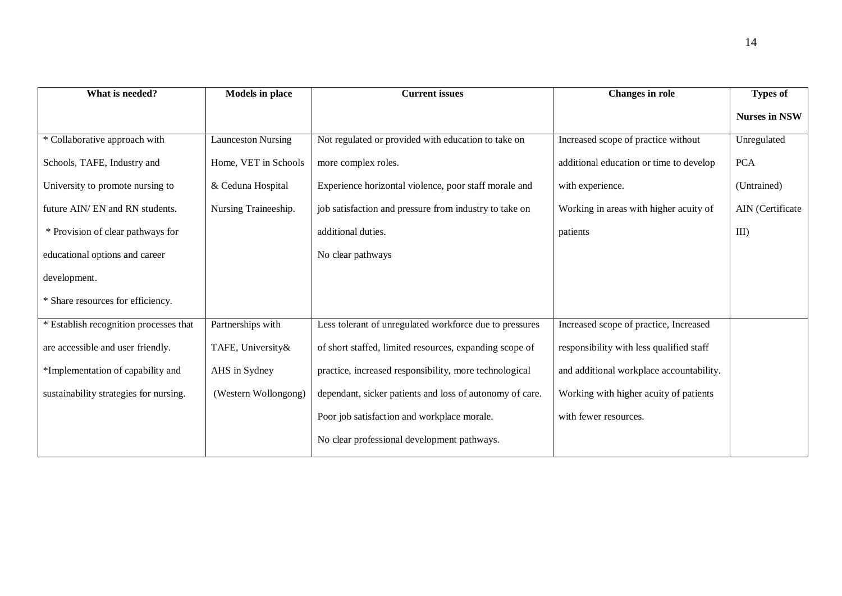| What is needed?                        | <b>Models</b> in place    | <b>Current issues</b>                                    | <b>Changes</b> in role                   | <b>Types of</b>      |
|----------------------------------------|---------------------------|----------------------------------------------------------|------------------------------------------|----------------------|
|                                        |                           |                                                          |                                          | <b>Nurses in NSW</b> |
| * Collaborative approach with          | <b>Launceston Nursing</b> | Not regulated or provided with education to take on      | Increased scope of practice without      | Unregulated          |
| Schools, TAFE, Industry and            | Home, VET in Schools      | more complex roles.                                      | additional education or time to develop  | <b>PCA</b>           |
| University to promote nursing to       | & Ceduna Hospital         | Experience horizontal violence, poor staff morale and    | with experience.                         | (Untrained)          |
| future AIN/ EN and RN students.        | Nursing Traineeship.      | job satisfaction and pressure from industry to take on   | Working in areas with higher acuity of   | AIN (Certificate     |
| * Provision of clear pathways for      |                           | additional duties.                                       | patients                                 | $III$ )              |
| educational options and career         |                           | No clear pathways                                        |                                          |                      |
| development.                           |                           |                                                          |                                          |                      |
| * Share resources for efficiency.      |                           |                                                          |                                          |                      |
| * Establish recognition processes that | Partnerships with         | Less tolerant of unregulated workforce due to pressures  | Increased scope of practice, Increased   |                      |
| are accessible and user friendly.      | TAFE, University&         | of short staffed, limited resources, expanding scope of  | responsibility with less qualified staff |                      |
| *Implementation of capability and      | AHS in Sydney             | practice, increased responsibility, more technological   | and additional workplace accountability. |                      |
| sustainability strategies for nursing. | (Western Wollongong)      | dependant, sicker patients and loss of autonomy of care. | Working with higher acuity of patients   |                      |
|                                        |                           | Poor job satisfaction and workplace morale.              | with fewer resources.                    |                      |
|                                        |                           | No clear professional development pathways.              |                                          |                      |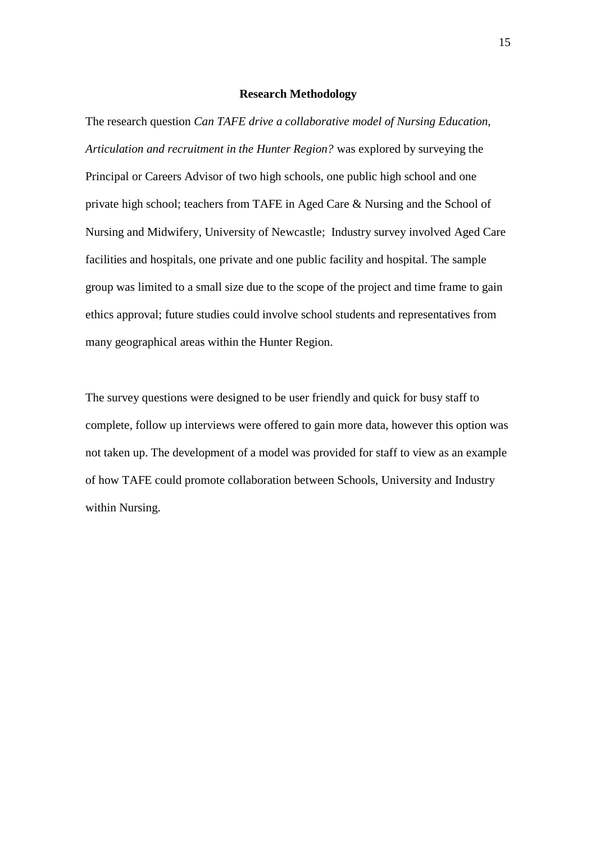# **Research Methodology**

The research question *Can TAFE drive a collaborative model of Nursing Education, Articulation and recruitment in the Hunter Region?* was explored by surveying the Principal or Careers Advisor of two high schools, one public high school and one private high school; teachers from TAFE in Aged Care & Nursing and the School of Nursing and Midwifery, University of Newcastle; Industry survey involved Aged Care facilities and hospitals, one private and one public facility and hospital. The sample group was limited to a small size due to the scope of the project and time frame to gain ethics approval; future studies could involve school students and representatives from many geographical areas within the Hunter Region.

The survey questions were designed to be user friendly and quick for busy staff to complete, follow up interviews were offered to gain more data, however this option was not taken up. The development of a model was provided for staff to view as an example of how TAFE could promote collaboration between Schools, University and Industry within Nursing.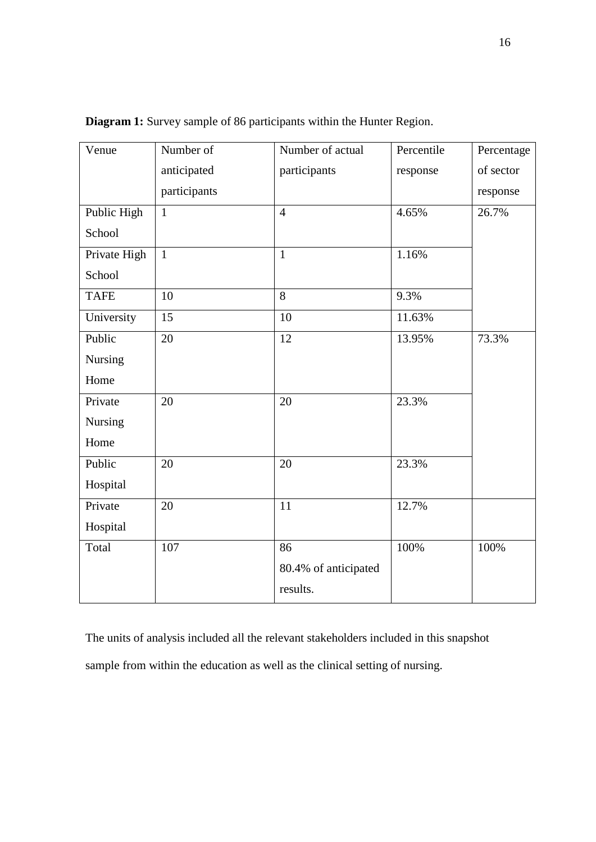| Venue        | Number of    | Number of actual     | Percentile | Percentage |
|--------------|--------------|----------------------|------------|------------|
|              | anticipated  | participants         | response   | of sector  |
|              | participants |                      |            | response   |
| Public High  | $\mathbf{1}$ | $\overline{4}$       | 4.65%      | 26.7%      |
| School       |              |                      |            |            |
| Private High | $\mathbf{1}$ | $\mathbf{1}$         | 1.16%      |            |
| School       |              |                      |            |            |
| <b>TAFE</b>  | 10           | 8                    | 9.3%       |            |
| University   | 15           | 10                   | 11.63%     |            |
| Public       | 20           | 12                   | 13.95%     | 73.3%      |
| Nursing      |              |                      |            |            |
| Home         |              |                      |            |            |
| Private      | 20           | 20                   | 23.3%      |            |
| Nursing      |              |                      |            |            |
| Home         |              |                      |            |            |
| Public       | 20           | 20                   | 23.3%      |            |
| Hospital     |              |                      |            |            |
| Private      | 20           | 11                   | 12.7%      |            |
| Hospital     |              |                      |            |            |
| Total        | 107          | 86                   | 100%       | 100%       |
|              |              | 80.4% of anticipated |            |            |
|              |              | results.             |            |            |
|              |              |                      |            |            |

**Diagram 1:** Survey sample of 86 participants within the Hunter Region.

The units of analysis included all the relevant stakeholders included in this snapshot sample from within the education as well as the clinical setting of nursing.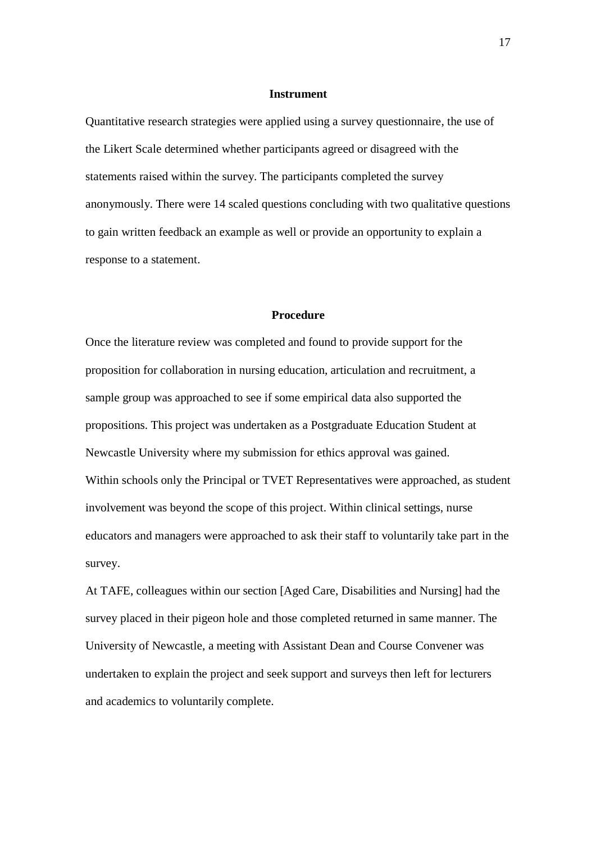## **Instrument**

Quantitative research strategies were applied using a survey questionnaire, the use of the Likert Scale determined whether participants agreed or disagreed with the statements raised within the survey. The participants completed the survey anonymously. There were 14 scaled questions concluding with two qualitative questions to gain written feedback an example as well or provide an opportunity to explain a response to a statement.

### **Procedure**

Once the literature review was completed and found to provide support for the proposition for collaboration in nursing education, articulation and recruitment, a sample group was approached to see if some empirical data also supported the propositions. This project was undertaken as a Postgraduate Education Student at Newcastle University where my submission for ethics approval was gained. Within schools only the Principal or TVET Representatives were approached, as student involvement was beyond the scope of this project. Within clinical settings, nurse educators and managers were approached to ask their staff to voluntarily take part in the survey.

At TAFE, colleagues within our section [Aged Care, Disabilities and Nursing] had the survey placed in their pigeon hole and those completed returned in same manner. The University of Newcastle, a meeting with Assistant Dean and Course Convener was undertaken to explain the project and seek support and surveys then left for lecturers and academics to voluntarily complete.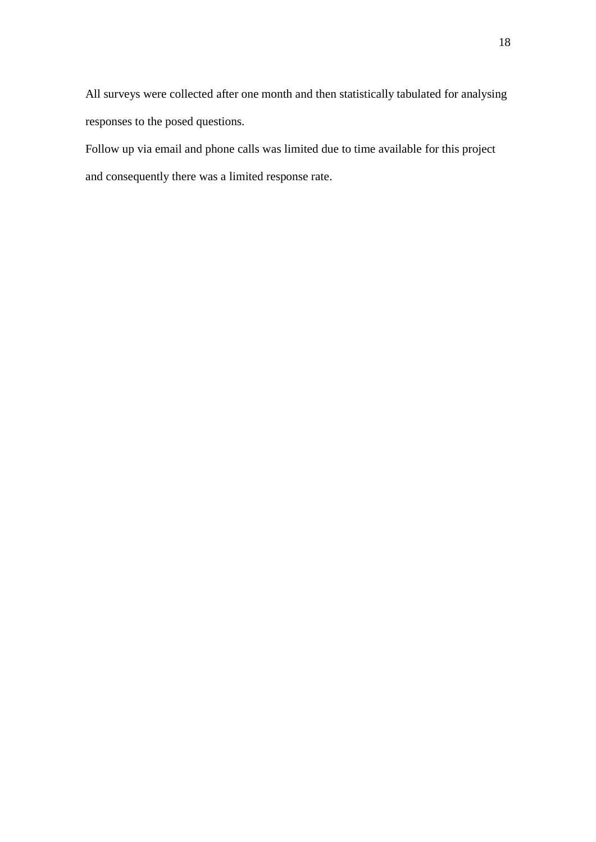All surveys were collected after one month and then statistically tabulated for analysing responses to the posed questions.

Follow up via email and phone calls was limited due to time available for this project and consequently there was a limited response rate.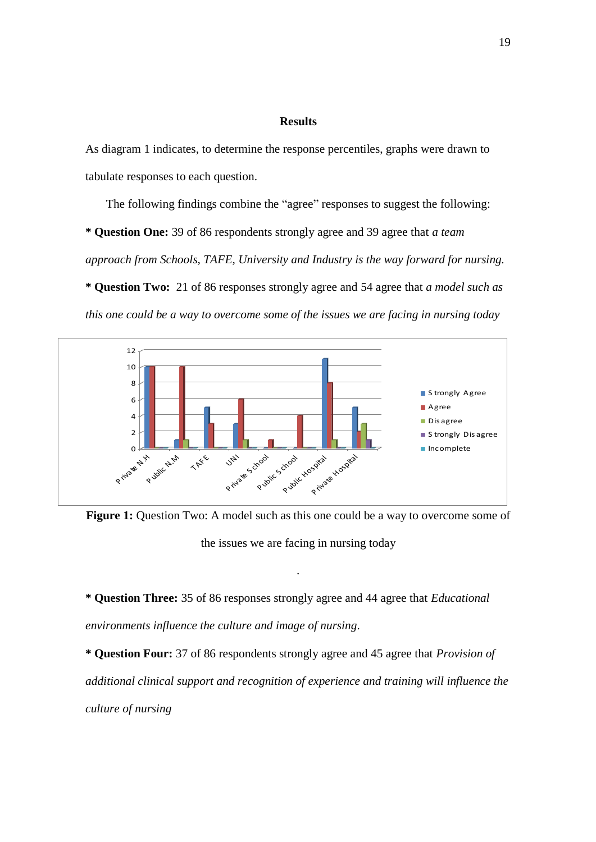### **Results**

As diagram 1 indicates, to determine the response percentiles, graphs were drawn to tabulate responses to each question.

The following findings combine the "agree" responses to suggest the following:

**\* Question One:** 39 of 86 respondents strongly agree and 39 agree that *a team approach from Schools, TAFE, University and Industry is the way forward for nursing.*

**\* Question Two:** 21 of 86 responses strongly agree and 54 agree that *a model such as this one could be a way to overcome some of the issues we are facing in nursing today*



**Figure 1:** Question Two: A model such as this one could be a way to overcome some of the issues we are facing in nursing today

*.*

**\* Question Three:** 35 of 86 responses strongly agree and 44 agree that *Educational environments influence the culture and image of nursing.*

**\* Question Four:** 37 of 86 respondents strongly agree and 45 agree that *Provision of additional clinical support and recognition of experience and training will influence the culture of nursing*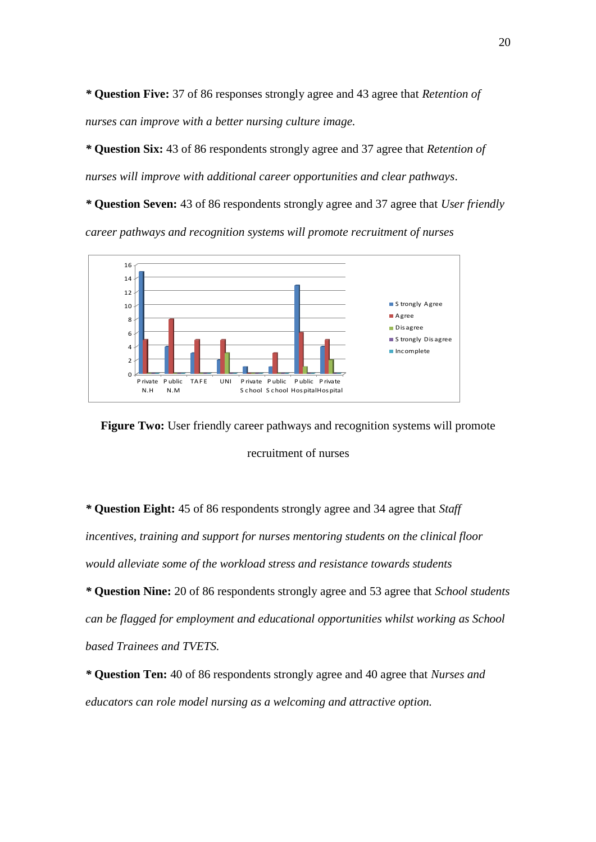*\** **Question Five:** 37 of 86 responses strongly agree and 43 agree that *Retention of nurses can improve with a better nursing culture image.*

*\** **Question Six:** 43 of 86 respondents strongly agree and 37 agree that *Retention of nurses will improve with additional career opportunities and clear pathways.*

*\** **Question Seven:** 43 of 86 respondents strongly agree and 37 agree that *User friendly career pathways and recognition systems will promote recruitment of nurses*



**Figure Two:** User friendly career pathways and recognition systems will promote recruitment of nurses

*\** **Question Eight:** 45 of 86 respondents strongly agree and 34 agree that *Staff incentives, training and support for nurses mentoring students on the clinical floor would alleviate some of the workload stress and resistance towards students*

*\** **Question Nine:** 20 of 86 respondents strongly agree and 53 agree that *School students can be flagged for employment and educational opportunities whilst working as School based Trainees and TVETS.*

*\** **Question Ten:** 40 of 86 respondents strongly agree and 40 agree that *Nurses and educators can role model nursing as a welcoming and attractive option.*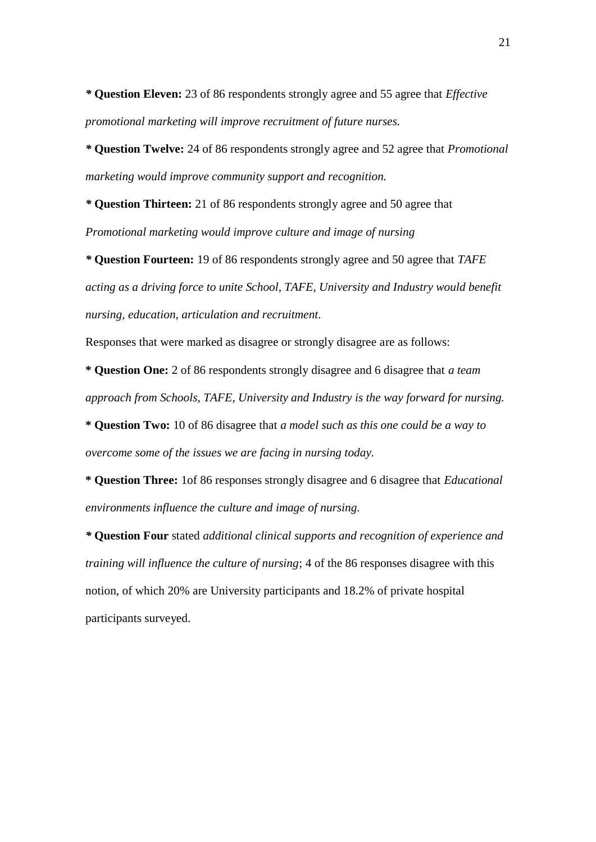*\** **Question Eleven:** 23 of 86 respondents strongly agree and 55 agree that *Effective promotional marketing will improve recruitment of future nurses.*

*\** **Question Twelve:** 24 of 86 respondents strongly agree and 52 agree that *Promotional marketing would improve community support and recognition.*

*\** **Question Thirteen:** 21 of 86 respondents strongly agree and 50 agree that *Promotional marketing would improve culture and image of nursing*

*\** **Question Fourteen:** 19 of 86 respondents strongly agree and 50 agree that *TAFE acting as a driving force to unite School, TAFE, University and Industry would benefit nursing, education, articulation and recruitment.*

Responses that were marked as disagree or strongly disagree are as follows:

**\* Question One:** 2 of 86 respondents strongly disagree and 6 disagree that *a team approach from Schools, TAFE, University and Industry is the way forward for nursing.*

**\* Question Two:** 10 of 86 disagree that *a model such as this one could be a way to overcome some of the issues we are facing in nursing today.*

**\* Question Three:** 1of 86 responses strongly disagree and 6 disagree that *Educational environments influence the culture and image of nursing.*

*\** **Question Four** stated *additional clinical supports and recognition of experience and training will influence the culture of nursing*; 4 of the 86 responses disagree with this notion, of which 20% are University participants and 18.2% of private hospital participants surveyed.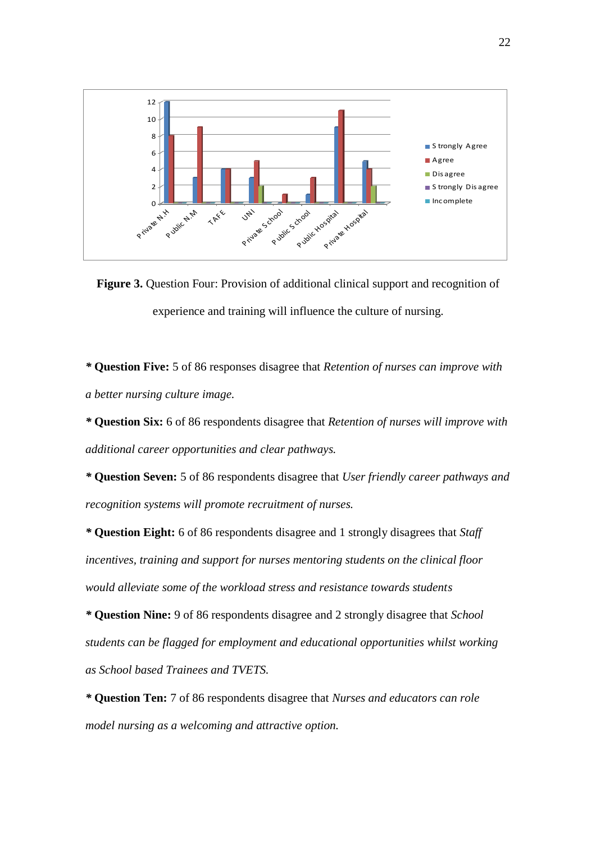

**Figure 3.** Question Four: Provision of additional clinical support and recognition of experience and training will influence the culture of nursing.

*\** **Question Five:** 5 of 86 responses disagree that *Retention of nurses can improve with a better nursing culture image.*

*\** **Question Six:** 6 of 86 respondents disagree that *Retention of nurses will improve with additional career opportunities and clear pathways.*

*\** **Question Seven:** 5 of 86 respondents disagree that *User friendly career pathways and recognition systems will promote recruitment of nurses.*

*\** **Question Eight:** 6 of 86 respondents disagree and 1 strongly disagrees that *Staff incentives, training and support for nurses mentoring students on the clinical floor would alleviate some of the workload stress and resistance towards students*

*\** **Question Nine:** 9 of 86 respondents disagree and 2 strongly disagree that *School students can be flagged for employment and educational opportunities whilst working as School based Trainees and TVETS.*

*\** **Question Ten:** 7 of 86 respondents disagree that *Nurses and educators can role model nursing as a welcoming and attractive option.*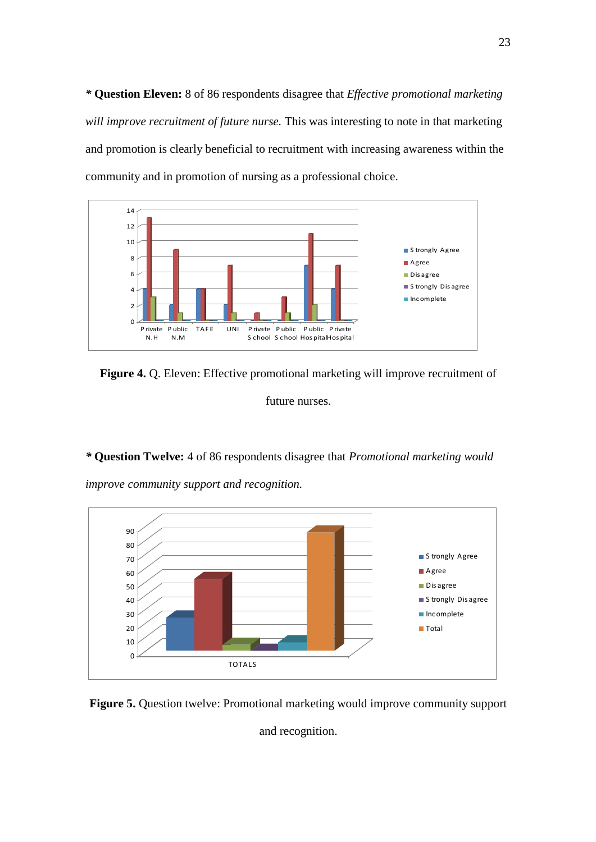*\** **Question Eleven:** 8 of 86 respondents disagree that *Effective promotional marketing will improve recruitment of future nurse.* This was interesting to note in that marketing and promotion is clearly beneficial to recruitment with increasing awareness within the community and in promotion of nursing as a professional choice.



**Figure 4.** Q. Eleven: Effective promotional marketing will improve recruitment of

future nurses.

*\** **Question Twelve:** 4 of 86 respondents disagree that *Promotional marketing would improve community support and recognition.*



**Figure 5.** Question twelve: Promotional marketing would improve community support

and recognition.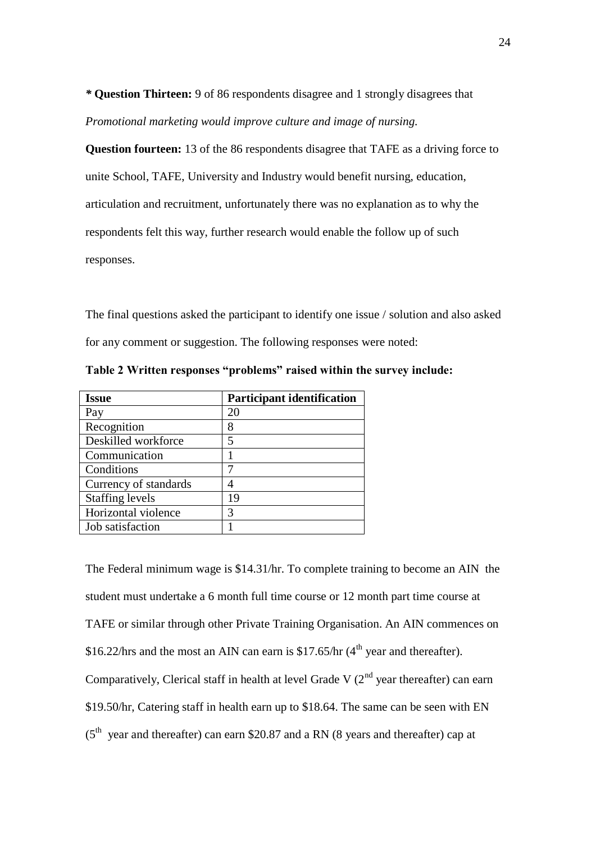*\** **Question Thirteen:** 9 of 86 respondents disagree and 1 strongly disagrees that *Promotional marketing would improve culture and image of nursing.*

**Question fourteen:** 13 of the 86 respondents disagree that TAFE as a driving force to unite School, TAFE, University and Industry would benefit nursing, education, articulation and recruitment, unfortunately there was no explanation as to why the respondents felt this way, further research would enable the follow up of such responses.

The final questions asked the participant to identify one issue / solution and also asked for any comment or suggestion. The following responses were noted:

| <b>Issue</b>           | <b>Participant identification</b> |
|------------------------|-----------------------------------|
| Pay                    | 20                                |
| Recognition            | 8                                 |
| Deskilled workforce    | 5                                 |
| Communication          |                                   |
| Conditions             |                                   |
| Currency of standards  |                                   |
| <b>Staffing levels</b> | 19                                |
| Horizontal violence    | 3                                 |
| Job satisfaction       |                                   |

**Table 2 Written responses "problems" raised within the survey include:**

The Federal minimum wage is \$14.31/hr. To complete training to become an AIN the student must undertake a 6 month full time course or 12 month part time course at TAFE or similar through other Private Training Organisation. An AIN commences on \$16.22/hrs and the most an AIN can earn is \$17.65/hr  $(4<sup>th</sup>$  year and thereafter). Comparatively, Clerical staff in health at level Grade V  $(2<sup>nd</sup>$  year thereafter) can earn \$19.50/hr, Catering staff in health earn up to \$18.64. The same can be seen with EN  $(5<sup>th</sup>$  year and thereafter) can earn \$20.87 and a RN (8 years and thereafter) cap at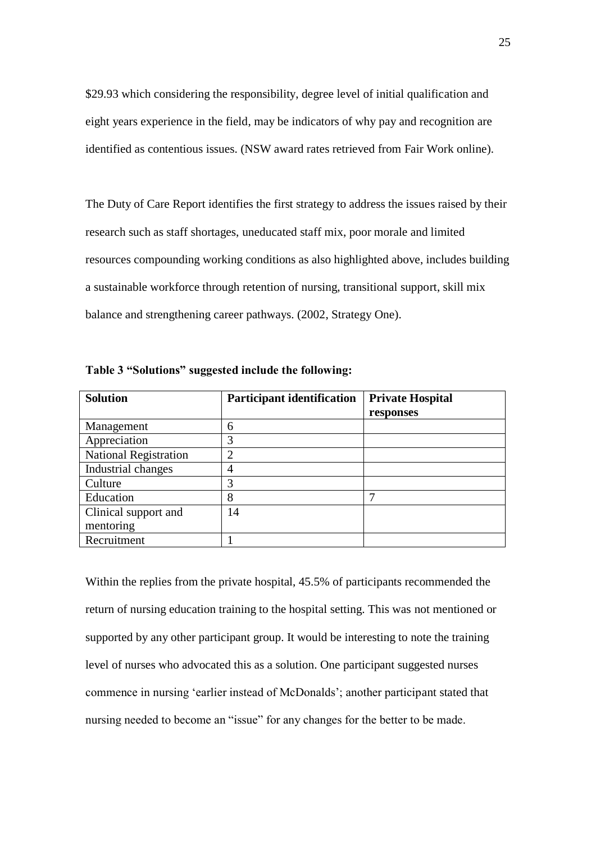\$29.93 which considering the responsibility, degree level of initial qualification and eight years experience in the field, may be indicators of why pay and recognition are identified as contentious issues. (NSW award rates retrieved from Fair Work online).

The Duty of Care Report identifies the first strategy to address the issues raised by their research such as staff shortages, uneducated staff mix, poor morale and limited resources compounding working conditions as also highlighted above, includes building a sustainable workforce through retention of nursing, transitional support, skill mix balance and strengthening career pathways. (2002, Strategy One).

| <b>Solution</b>              | <b>Participant identification</b> | <b>Private Hospital</b> |
|------------------------------|-----------------------------------|-------------------------|
|                              |                                   | responses               |
| Management                   | 6                                 |                         |
| Appreciation                 | 3                                 |                         |
| <b>National Registration</b> | $\overline{2}$                    |                         |
| Industrial changes           | 4                                 |                         |
| Culture                      | 3                                 |                         |
| Education                    | 8                                 | ┑                       |
| Clinical support and         | 14                                |                         |
| mentoring                    |                                   |                         |
| Recruitment                  |                                   |                         |

**Table 3 "Solutions" suggested include the following:**

Within the replies from the private hospital, 45.5% of participants recommended the return of nursing education training to the hospital setting. This was not mentioned or supported by any other participant group. It would be interesting to note the training level of nurses who advocated this as a solution. One participant suggested nurses commence in nursing "earlier instead of McDonalds"; another participant stated that nursing needed to become an "issue" for any changes for the better to be made.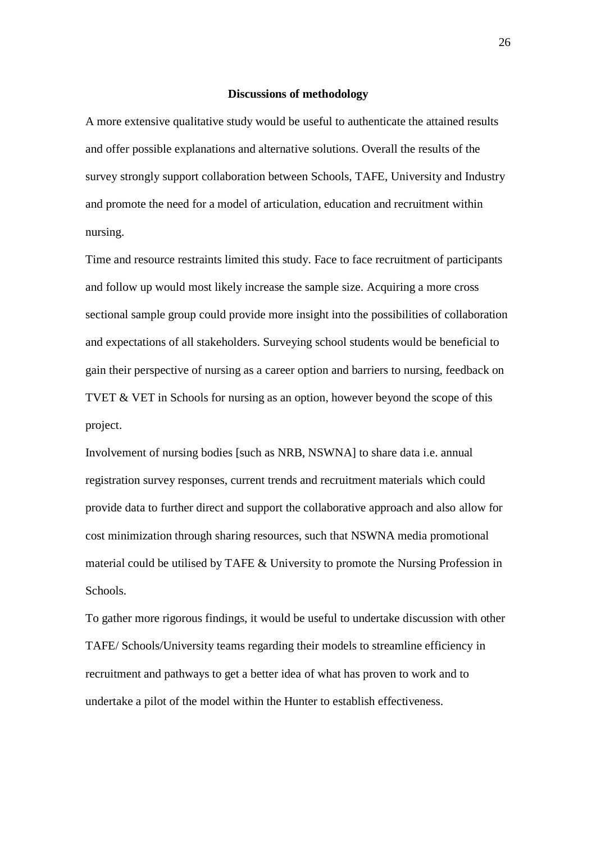### **Discussions of methodology**

A more extensive qualitative study would be useful to authenticate the attained results and offer possible explanations and alternative solutions. Overall the results of the survey strongly support collaboration between Schools, TAFE, University and Industry and promote the need for a model of articulation, education and recruitment within nursing.

Time and resource restraints limited this study. Face to face recruitment of participants and follow up would most likely increase the sample size. Acquiring a more cross sectional sample group could provide more insight into the possibilities of collaboration and expectations of all stakeholders. Surveying school students would be beneficial to gain their perspective of nursing as a career option and barriers to nursing, feedback on TVET & VET in Schools for nursing as an option, however beyond the scope of this project.

Involvement of nursing bodies [such as NRB, NSWNA] to share data i.e. annual registration survey responses, current trends and recruitment materials which could provide data to further direct and support the collaborative approach and also allow for cost minimization through sharing resources, such that NSWNA media promotional material could be utilised by TAFE & University to promote the Nursing Profession in Schools.

To gather more rigorous findings, it would be useful to undertake discussion with other TAFE/ Schools/University teams regarding their models to streamline efficiency in recruitment and pathways to get a better idea of what has proven to work and to undertake a pilot of the model within the Hunter to establish effectiveness.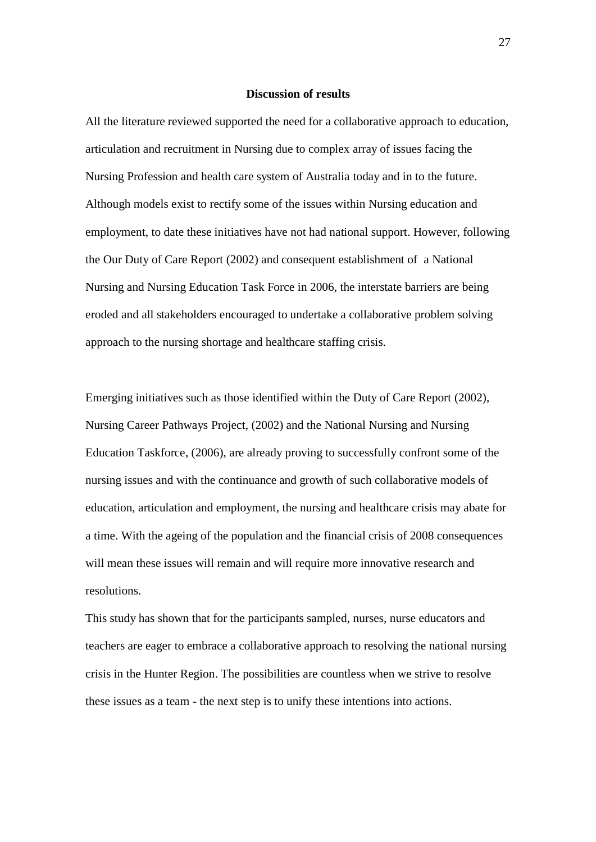## **Discussion of results**

All the literature reviewed supported the need for a collaborative approach to education, articulation and recruitment in Nursing due to complex array of issues facing the Nursing Profession and health care system of Australia today and in to the future. Although models exist to rectify some of the issues within Nursing education and employment, to date these initiatives have not had national support. However, following the Our Duty of Care Report (2002) and consequent establishment of a National Nursing and Nursing Education Task Force in 2006, the interstate barriers are being eroded and all stakeholders encouraged to undertake a collaborative problem solving approach to the nursing shortage and healthcare staffing crisis.

Emerging initiatives such as those identified within the Duty of Care Report (2002), Nursing Career Pathways Project, (2002) and the National Nursing and Nursing Education Taskforce, (2006), are already proving to successfully confront some of the nursing issues and with the continuance and growth of such collaborative models of education, articulation and employment, the nursing and healthcare crisis may abate for a time. With the ageing of the population and the financial crisis of 2008 consequences will mean these issues will remain and will require more innovative research and resolutions.

This study has shown that for the participants sampled, nurses, nurse educators and teachers are eager to embrace a collaborative approach to resolving the national nursing crisis in the Hunter Region. The possibilities are countless when we strive to resolve these issues as a team - the next step is to unify these intentions into actions.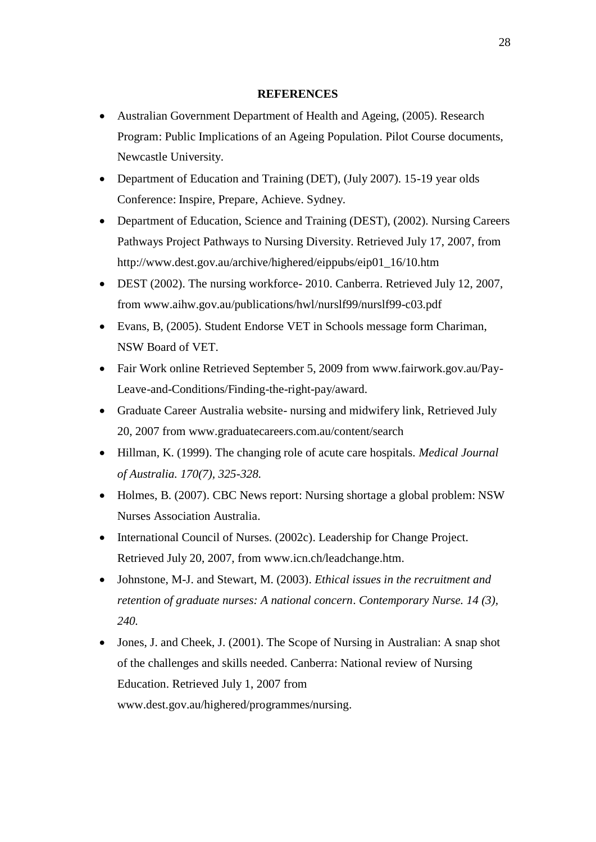# **REFERENCES**

- Australian Government Department of Health and Ageing, (2005). Research Program: Public Implications of an Ageing Population. Pilot Course documents, Newcastle University.
- Department of Education and Training (DET), (July 2007). 15-19 year olds Conference: Inspire, Prepare, Achieve. Sydney.
- Department of Education, Science and Training (DEST), (2002). Nursing Careers Pathways Project Pathways to Nursing Diversity. Retrieved July 17, 2007, from http://www.dest.gov.au/archive/highered/eippubs/eip01\_16/10.htm
- DEST (2002). The nursing workforce- 2010. Canberra. Retrieved July 12, 2007, from www.aihw.gov.au/publications/hwl/nurslf99/nurslf99-c03.pdf
- Evans, B, (2005). Student Endorse VET in Schools message form Chariman, NSW Board of VET.
- Fair Work online Retrieved September 5, 2009 from www.fairwork.gov.au/Pay-Leave-and-Conditions/Finding-the-right-pay/award.
- Graduate Career Australia website- nursing and midwifery link, Retrieved July 20, 2007 from www.graduatecareers.com.au/content/search
- Hillman, K. (1999). The changing role of acute care hospitals. *Medical Journal of Australia. 170(7), 325-328.*
- Holmes, B. (2007). CBC News report: Nursing shortage a global problem: NSW Nurses Association Australia.
- International Council of Nurses. (2002c). Leadership for Change Project. Retrieved July 20, 2007, from www.icn.ch/leadchange.htm.
- Johnstone, M-J. and Stewart, M. (2003). *Ethical issues in the recruitment and retention of graduate nurses: A national concern*. *Contemporary Nurse. 14 (3), 240.*
- Jones, J. and Cheek, J. (2001). The Scope of Nursing in Australian: A snap shot of the challenges and skills needed. Canberra: National review of Nursing Education. Retrieved July 1, 2007 from www.dest.gov.au/highered/programmes/nursing.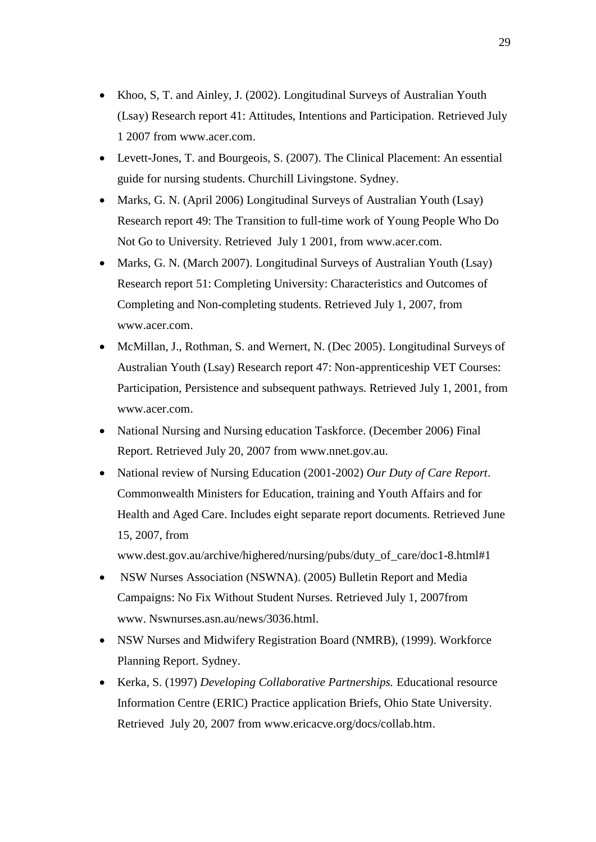- Khoo, S, T. and Ainley, J. (2002). Longitudinal Surveys of Australian Youth (Lsay) Research report 41: Attitudes, Intentions and Participation. Retrieved July 1 2007 from www.acer.com.
- Levett-Jones, T. and Bourgeois, S. (2007). The Clinical Placement: An essential guide for nursing students. Churchill Livingstone. Sydney.
- Marks, G. N. (April 2006) Longitudinal Surveys of Australian Youth (Lsay) Research report 49: The Transition to full-time work of Young People Who Do Not Go to University. Retrieved July 1 2001, from www.acer.com.
- Marks, G. N. (March 2007). Longitudinal Surveys of Australian Youth (Lsay) Research report 51: Completing University: Characteristics and Outcomes of Completing and Non-completing students. Retrieved July 1, 2007, from www.acer.com.
- McMillan, J., Rothman, S. and Wernert, N. (Dec 2005). Longitudinal Surveys of Australian Youth (Lsay) Research report 47: Non-apprenticeship VET Courses: Participation, Persistence and subsequent pathways. Retrieved July 1, 2001, from www.acer.com.
- National Nursing and Nursing education Taskforce. (December 2006) Final Report. Retrieved July 20, 2007 from www.nnet.gov.au.
- National review of Nursing Education (2001-2002) *Our Duty of Care Report*. Commonwealth Ministers for Education, training and Youth Affairs and for Health and Aged Care. Includes eight separate report documents. Retrieved June 15, 2007, from

www.dest.gov.au/archive/highered/nursing/pubs/duty\_of\_care/doc1-8.html#1

- NSW Nurses Association (NSWNA). (2005) Bulletin Report and Media Campaigns: No Fix Without Student Nurses. Retrieved July 1, 2007from www. Nswnurses.asn.au/news/3036.html.
- NSW Nurses and Midwifery Registration Board (NMRB), (1999). Workforce Planning Report. Sydney.
- Kerka, S. (1997) *Developing Collaborative Partnerships.* Educational resource Information Centre (ERIC) Practice application Briefs, Ohio State University. Retrieved July 20, 2007 from www.ericacve.org/docs/collab.htm.